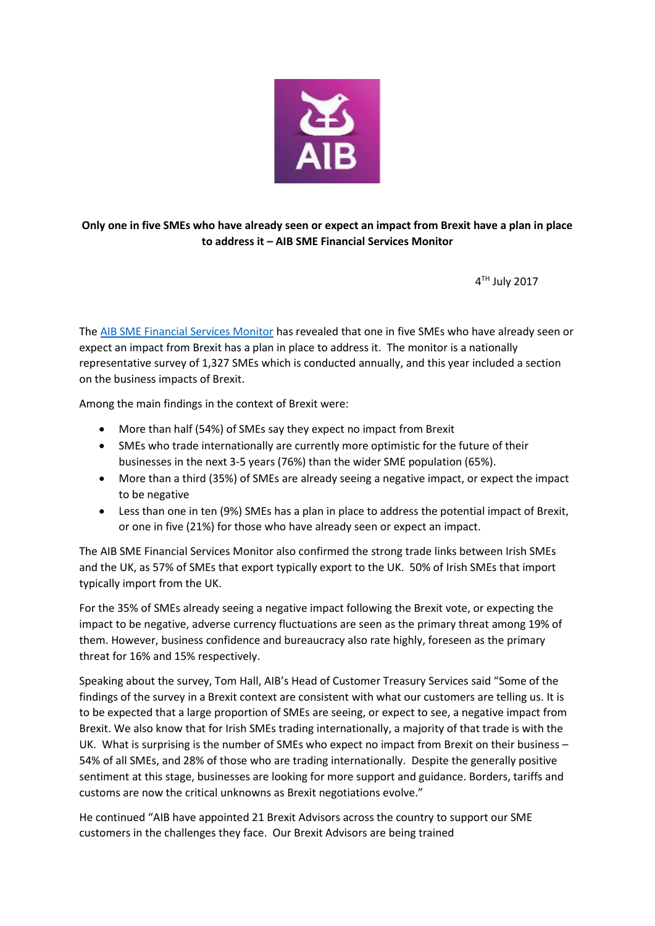

## **Only one in five SMEs who have already seen or expect an impact from Brexit have a plan in place to address it – AIB SME Financial Services Monitor**

4 TH July 2017

The [AIB SME Financial Services Monitor](https://fxcentre.aib.ie/content/dam/aib/fxcentre/docs/aib-brexit-newsletter-v15.pdf) has revealed that one in five SMEs who have already seen or expect an impact from Brexit has a plan in place to address it. The monitor is a nationally representative survey of 1,327 SMEs which is conducted annually, and this year included a section on the business impacts of Brexit.

Among the main findings in the context of Brexit were:

- More than half (54%) of SMEs say they expect no impact from Brexit
- SMEs who trade internationally are currently more optimistic for the future of their businesses in the next 3-5 years (76%) than the wider SME population (65%).
- More than a third (35%) of SMEs are already seeing a negative impact, or expect the impact to be negative
- Less than one in ten (9%) SMEs has a plan in place to address the potential impact of Brexit, or one in five (21%) for those who have already seen or expect an impact.

The AIB SME Financial Services Monitor also confirmed the strong trade links between Irish SMEs and the UK, as 57% of SMEs that export typically export to the UK. 50% of Irish SMEs that import typically import from the UK.

For the 35% of SMEs already seeing a negative impact following the Brexit vote, or expecting the impact to be negative, adverse currency fluctuations are seen as the primary threat among 19% of them. However, business confidence and bureaucracy also rate highly, foreseen as the primary threat for 16% and 15% respectively.

Speaking about the survey, Tom Hall, AIB's Head of Customer Treasury Services said "Some of the findings of the survey in a Brexit context are consistent with what our customers are telling us. It is to be expected that a large proportion of SMEs are seeing, or expect to see, a negative impact from Brexit. We also know that for Irish SMEs trading internationally, a majority of that trade is with the UK. What is surprising is the number of SMEs who expect no impact from Brexit on their business – 54% of all SMEs, and 28% of those who are trading internationally. Despite the generally positive sentiment at this stage, businesses are looking for more support and guidance. Borders, tariffs and customs are now the critical unknowns as Brexit negotiations evolve."

He continued "AIB have appointed 21 Brexit Advisors across the country to support our SME customers in the challenges they face. Our Brexit Advisors are being trained